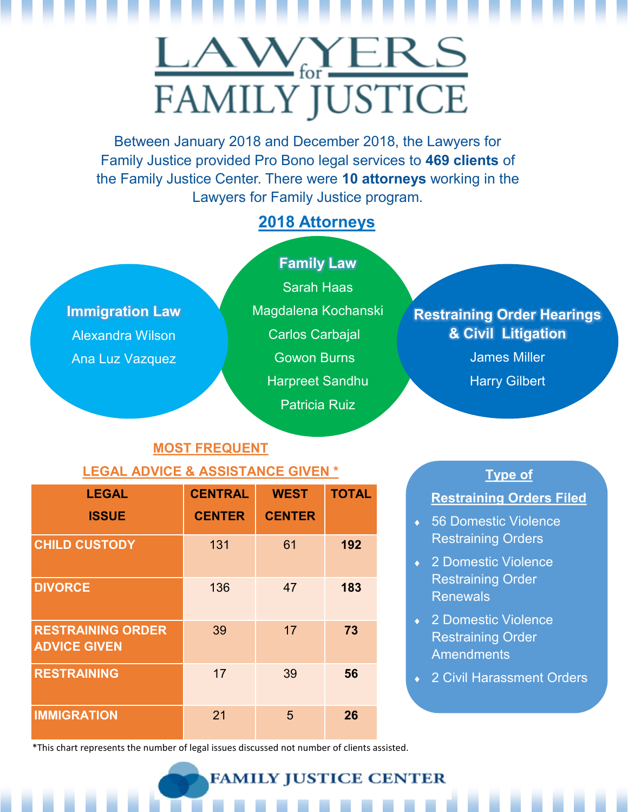## LAWYERS **FAMILY JUSTICE**

Between January 2018 and December 2018, the Lawyers for Family Justice provided Pro Bono legal services to **469 clients** of the Family Justice Center. There were **10 attorneys** working in the Lawyers for Family Justice program.

## **2018 Attorneys**

**Immigration Law** Alexandra Wilson Ana Luz Vazquez

## **Family Law**

Sarah Haas Magdalena Kochanski Carlos Carbajal Gowon Burns Harpreet Sandhu Patricia Ruiz

## **Restraining Order Hearings & Civil Litigation**

James Miller

Harry Gilbert

## **MOST FREQUENT**

## **LEGAL ADVICE & ASSISTANCE GIVEN \* Type of**

| <b>LEGAL</b>                                    | <b>CENTRAL</b> | <b>WEST</b>   | <b>TOTAL</b> |
|-------------------------------------------------|----------------|---------------|--------------|
| <b>ISSUE</b>                                    | <b>CENTER</b>  | <b>CENTER</b> |              |
| <b>CHILD CUSTODY</b>                            | 131            | 61            | 192          |
| <b>DIVORCE</b>                                  | 136            | 47            | 183          |
| <b>RESTRAINING ORDER</b><br><b>ADVICE GIVEN</b> | 39             | 17            | 73           |
| <b>RESTRAINING</b>                              | 17             | 39            | 56           |
| <b>IMMIGRATION</b>                              | 21             | 5             | 26           |

### **Restraining Orders Filed**

- ◆ 56 Domestic Violence Restraining Orders
- ◆ 2 Domestic Violence Restraining Order Renewals
- ◆ 2 Domestic Violence Restraining Order **Amendments**
- ◆ 2 Civil Harassment Orders

\*This chart represents the number of legal issues discussed not number of clients assisted.

**FAMILY JUSTICE CENTER**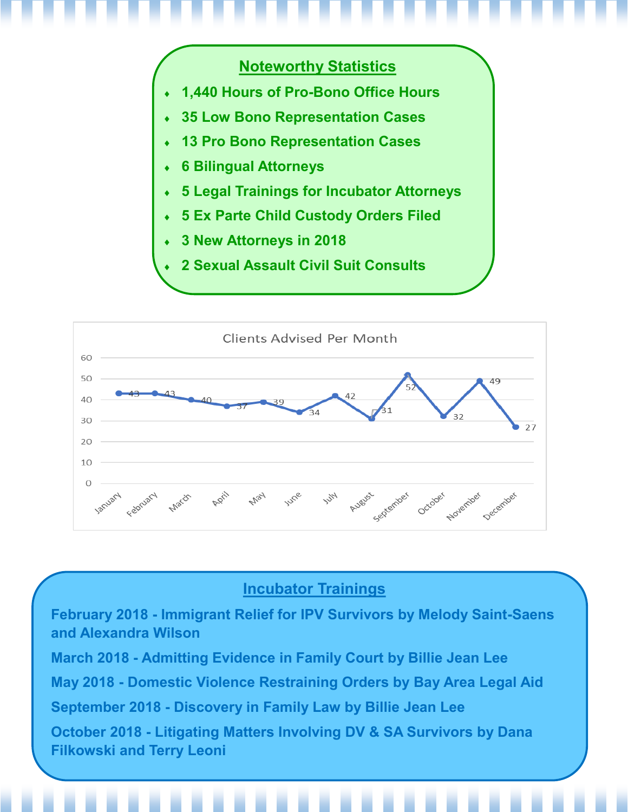

## **Noteworthy Statistics**

- **1,440 Hours of Pro-Bono Office Hours**
- **35 Low Bono Representation Cases**
- **13 Pro Bono Representation Cases**
- **6 Bilingual Attorneys**
- **5 Legal Trainings for Incubator Attorneys**
- **5 Ex Parte Child Custody Orders Filed**
- **3 New Attorneys in 2018**
- **2 Sexual Assault Civil Suit Consults**



## **Incubator Trainings**

**February 2018 - Immigrant Relief for IPV Survivors by Melody Saint-Saens and Alexandra Wilson March 2018 - Admitting Evidence in Family Court by Billie Jean Lee May 2018 - Domestic Violence Restraining Orders by Bay Area Legal Aid September 2018 - Discovery in Family Law by Billie Jean Lee October 2018 - Litigating Matters Involving DV & SA Survivors by Dana Filkowski and Terry Leoni**